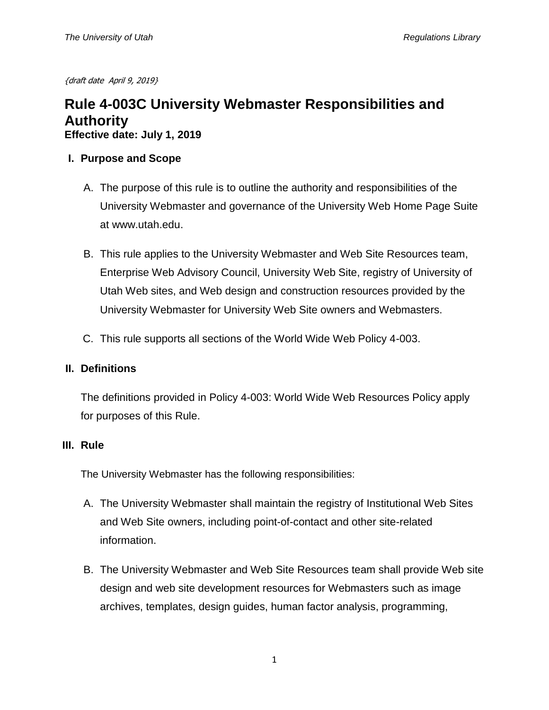{draft date April 9, 2019}

# **Rule 4-003C University Webmaster Responsibilities and Authority Effective date: July 1, 2019**

- **I. Purpose and Scope**
	- A. The purpose of this rule is to outline the authority and responsibilities of the University Webmaster and governance of the University Web Home Page Suite at www.utah.edu.
	- B. This rule applies to the University Webmaster and Web Site Resources team, Enterprise Web Advisory Council, University Web Site, registry of University of Utah Web sites, and Web design and construction resources provided by the University Webmaster for University Web Site owners and Webmasters.
	- C. This rule supports all sections of the World Wide Web Policy 4-003.

#### **II. Definitions**

The definitions provided in Policy 4-003: World Wide Web Resources Policy apply for purposes of this Rule.

#### **III. Rule**

The University Webmaster has the following responsibilities:

- A. The University Webmaster shall maintain the registry of Institutional Web Sites and Web Site owners, including point-of-contact and other site-related information.
- B. The University Webmaster and Web Site Resources team shall provide Web site design and web site development resources for Webmasters such as image archives, templates, design guides, human factor analysis, programming,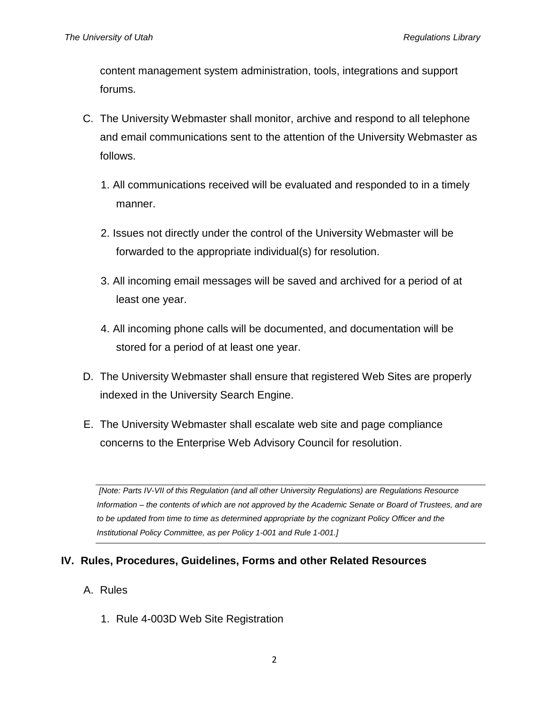content management system administration, tools, integrations and support forums.

- C. The University Webmaster shall monitor, archive and respond to all telephone and email communications sent to the attention of the University Webmaster as follows.
	- 1. All communications received will be evaluated and responded to in a timely manner.
	- 2. Issues not directly under the control of the University Webmaster will be forwarded to the appropriate individual(s) for resolution.
	- 3. All incoming email messages will be saved and archived for a period of at least one year.
	- 4. All incoming phone calls will be documented, and documentation will be stored for a period of at least one year.
- D. The University Webmaster shall ensure that registered Web Sites are properly indexed in the University Search Engine.
- E. The University Webmaster shall escalate web site and page compliance concerns to the Enterprise Web Advisory Council for resolution.

*[Note: Parts IV-VII of this Regulation (and all other University Regulations) are Regulations Resource Information – the contents of which are not approved by the Academic Senate or Board of Trustees, and are to be updated from time to time as determined appropriate by the cognizant Policy Officer and the Institutional Policy Committee, as per Policy 1-001 and Rule 1-001.]*

## **IV. Rules, Procedures, Guidelines, Forms and other Related Resources**

- A. Rules
	- 1. Rule 4-003D Web Site Registration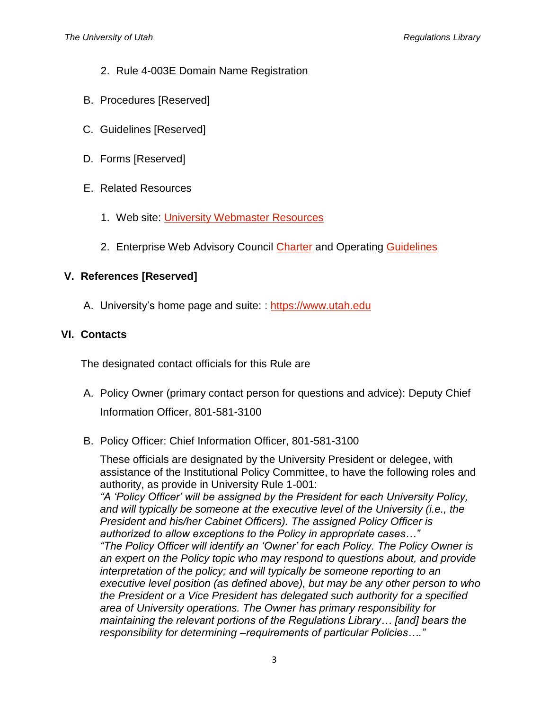- 2. Rule 4-003E Domain Name Registration
- B. Procedures [Reserved]
- C. Guidelines [Reserved]
- D. Forms [Reserved]
- E. Related Resources
	- 1. Web site: *University Webmaster Resources*
	- 2. Enterprise Web Advisory Council [Charter](https://it.utah.edu/cio/it-governance-committees/ewac-overview.php) and Operating [Guidelines](https://it.utah.edu/cio/it-governance-committees/ewac-operating-guidelines.php)

## **V. References [Reserved]**

A. University's home page and suite: : [https://www.utah.edu](https://www.utah.edu/)

#### **VI. Contacts**

The designated contact officials for this Rule are

- A. Policy Owner (primary contact person for questions and advice): Deputy Chief Information Officer, 801-581-3100
- B. Policy Officer: Chief Information Officer, 801-581-3100

These officials are designated by the University President or delegee, with assistance of the Institutional Policy Committee, to have the following roles and authority, as provide in University Rule 1-001: *"A 'Policy Officer' will be assigned by the President for each University Policy,* 

*and will typically be someone at the executive level of the University (i.e., the President and his/her Cabinet Officers). The assigned Policy Officer is authorized to allow exceptions to the Policy in appropriate cases…"*

*"The Policy Officer will identify an 'Owner' for each Policy. The Policy Owner is an expert on the Policy topic who may respond to questions about, and provide interpretation of the policy; and will typically be someone reporting to an executive level position (as defined above), but may be any other person to who the President or a Vice President has delegated such authority for a specified area of University operations. The Owner has primary responsibility for maintaining the relevant portions of the Regulations Library… [and] bears the responsibility for determining –requirements of particular Policies…."*